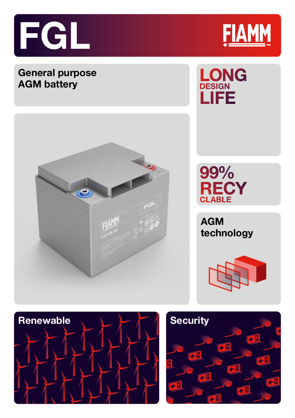

## **General purpose AGM battery**







**AGM technology**